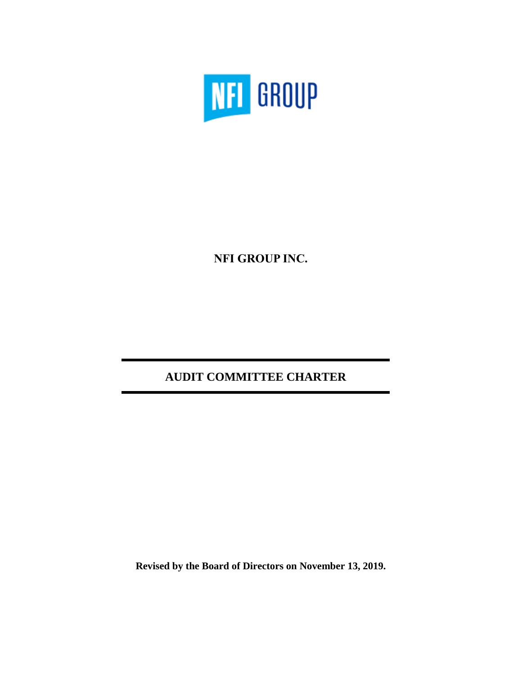

**NFI GROUP INC.**

# **AUDIT COMMITTEE CHARTER**

**Revised by the Board of Directors on November 13, 2019.**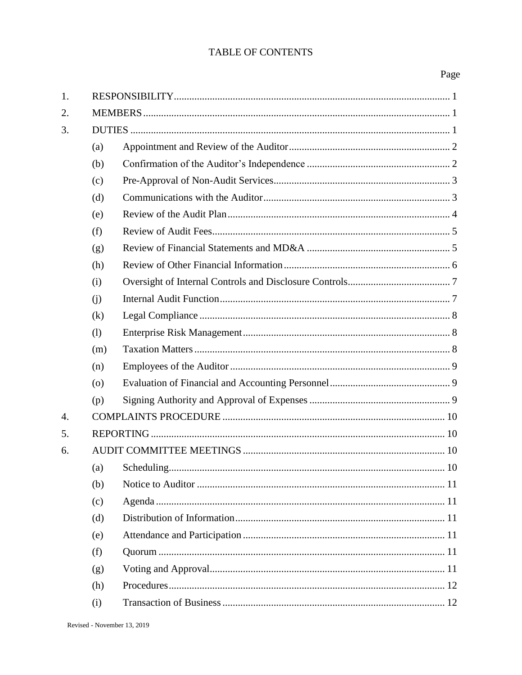# TABLE OF CONTENTS

# Page

| 1. |                    |                       |  |  |
|----|--------------------|-----------------------|--|--|
| 2. |                    |                       |  |  |
| 3. |                    |                       |  |  |
|    | (a)                |                       |  |  |
|    | (b)                |                       |  |  |
|    | (c)                |                       |  |  |
|    | (d)                |                       |  |  |
|    | (e)                |                       |  |  |
|    | (f)                |                       |  |  |
|    | (g)                |                       |  |  |
|    | (h)                |                       |  |  |
|    | (i)                |                       |  |  |
|    | (j)                |                       |  |  |
|    | (k)                |                       |  |  |
|    | (1)                |                       |  |  |
|    | (m)                |                       |  |  |
|    | (n)                |                       |  |  |
|    | $\left( 0 \right)$ |                       |  |  |
|    | (p)                |                       |  |  |
| 4. |                    |                       |  |  |
| 5. |                    |                       |  |  |
| 6. |                    |                       |  |  |
|    |                    | 10<br>(a) Scheduling. |  |  |
|    | (b)                |                       |  |  |
|    | (c)                |                       |  |  |
|    | (d)                |                       |  |  |
|    | (e)                |                       |  |  |
|    | (f)                |                       |  |  |
|    | (g)                |                       |  |  |
|    | (h)                |                       |  |  |
|    | (i)                |                       |  |  |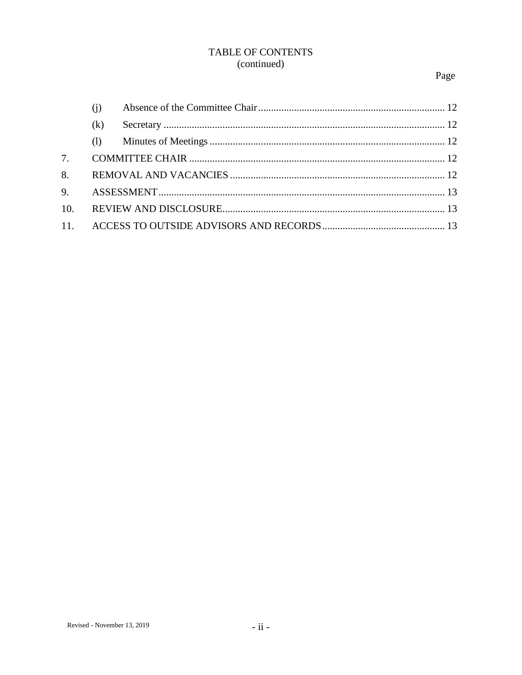# TABLE OF CONTENTS (continued)

# Page

| (i) |  |
|-----|--|
| (k) |  |
| (1) |  |
|     |  |
|     |  |
|     |  |
|     |  |
|     |  |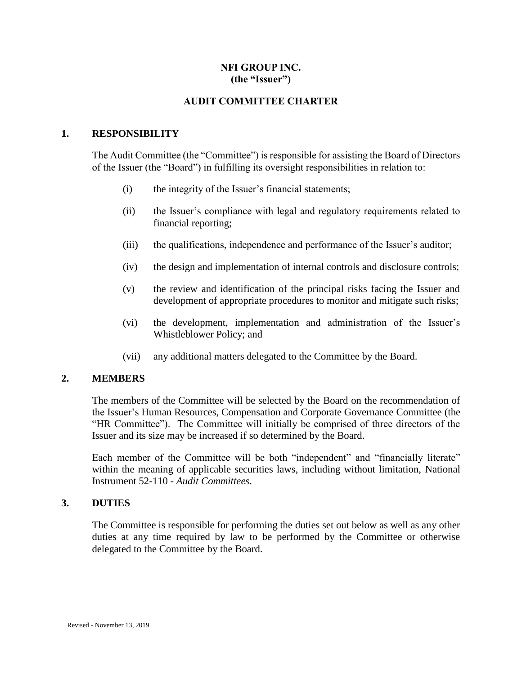# **NFI GROUP INC. (the "Issuer")**

# **AUDIT COMMITTEE CHARTER**

#### <span id="page-3-0"></span>**1. RESPONSIBILITY**

The Audit Committee (the "Committee") is responsible for assisting the Board of Directors of the Issuer (the "Board") in fulfilling its oversight responsibilities in relation to:

- (i) the integrity of the Issuer's financial statements;
- (ii) the Issuer's compliance with legal and regulatory requirements related to financial reporting;
- (iii) the qualifications, independence and performance of the Issuer's auditor;
- (iv) the design and implementation of internal controls and disclosure controls;
- (v) the review and identification of the principal risks facing the Issuer and development of appropriate procedures to monitor and mitigate such risks;
- (vi) the development, implementation and administration of the Issuer's Whistleblower Policy; and
- (vii) any additional matters delegated to the Committee by the Board.

# <span id="page-3-1"></span>**2. MEMBERS**

The members of the Committee will be selected by the Board on the recommendation of the Issuer's Human Resources, Compensation and Corporate Governance Committee (the "HR Committee"). The Committee will initially be comprised of three directors of the Issuer and its size may be increased if so determined by the Board.

Each member of the Committee will be both "independent" and "financially literate" within the meaning of applicable securities laws, including without limitation, National Instrument 52-110 - *Audit Committees*.

#### <span id="page-3-2"></span>**3. DUTIES**

The Committee is responsible for performing the duties set out below as well as any other duties at any time required by law to be performed by the Committee or otherwise delegated to the Committee by the Board.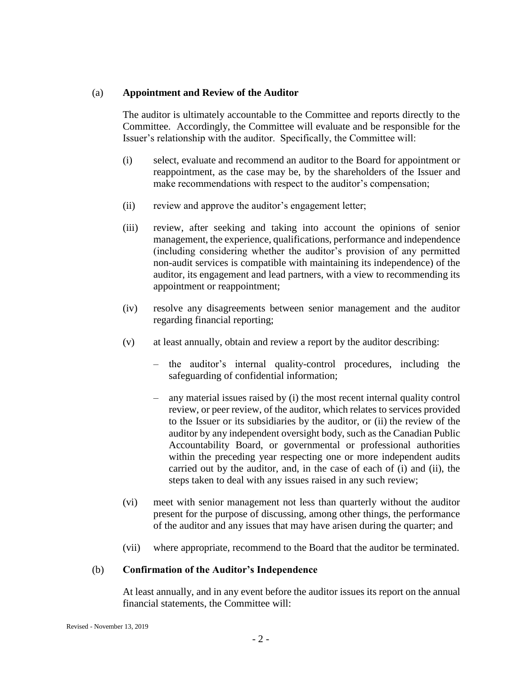#### <span id="page-4-0"></span>(a) **Appointment and Review of the Auditor**

The auditor is ultimately accountable to the Committee and reports directly to the Committee. Accordingly, the Committee will evaluate and be responsible for the Issuer's relationship with the auditor. Specifically, the Committee will:

- (i) select, evaluate and recommend an auditor to the Board for appointment or reappointment, as the case may be, by the shareholders of the Issuer and make recommendations with respect to the auditor's compensation;
- (ii) review and approve the auditor's engagement letter;
- (iii) review, after seeking and taking into account the opinions of senior management, the experience, qualifications, performance and independence (including considering whether the auditor's provision of any permitted non-audit services is compatible with maintaining its independence) of the auditor, its engagement and lead partners, with a view to recommending its appointment or reappointment;
- (iv) resolve any disagreements between senior management and the auditor regarding financial reporting;
- (v) at least annually, obtain and review a report by the auditor describing:
	- the auditor's internal quality-control procedures, including the safeguarding of confidential information;
	- any material issues raised by (i) the most recent internal quality control review, or peer review, of the auditor, which relates to services provided to the Issuer or its subsidiaries by the auditor, or (ii) the review of the auditor by any independent oversight body, such as the Canadian Public Accountability Board, or governmental or professional authorities within the preceding year respecting one or more independent audits carried out by the auditor, and, in the case of each of (i) and (ii), the steps taken to deal with any issues raised in any such review;
- (vi) meet with senior management not less than quarterly without the auditor present for the purpose of discussing, among other things, the performance of the auditor and any issues that may have arisen during the quarter; and
- (vii) where appropriate, recommend to the Board that the auditor be terminated.

# <span id="page-4-1"></span>(b) **Confirmation of the Auditor's Independence**

At least annually, and in any event before the auditor issues its report on the annual financial statements, the Committee will: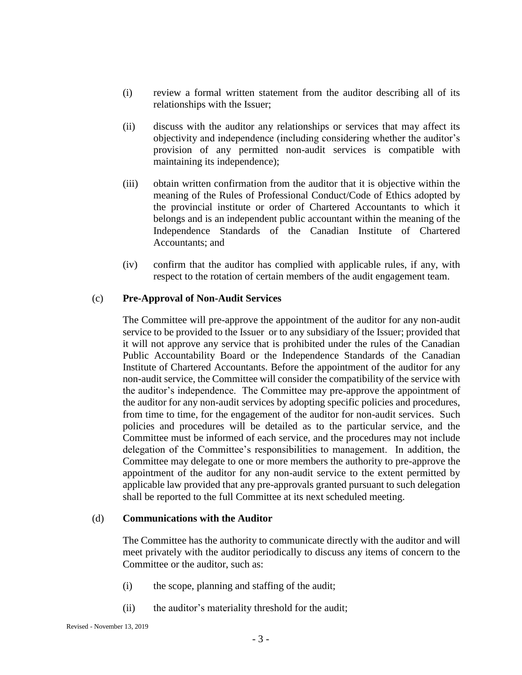- (i) review a formal written statement from the auditor describing all of its relationships with the Issuer;
- (ii) discuss with the auditor any relationships or services that may affect its objectivity and independence (including considering whether the auditor's provision of any permitted non-audit services is compatible with maintaining its independence);
- (iii) obtain written confirmation from the auditor that it is objective within the meaning of the Rules of Professional Conduct/Code of Ethics adopted by the provincial institute or order of Chartered Accountants to which it belongs and is an independent public accountant within the meaning of the Independence Standards of the Canadian Institute of Chartered Accountants; and
- (iv) confirm that the auditor has complied with applicable rules, if any, with respect to the rotation of certain members of the audit engagement team.

# <span id="page-5-0"></span>(c) **Pre-Approval of Non-Audit Services**

The Committee will pre-approve the appointment of the auditor for any non-audit service to be provided to the Issuer or to any subsidiary of the Issuer; provided that it will not approve any service that is prohibited under the rules of the Canadian Public Accountability Board or the Independence Standards of the Canadian Institute of Chartered Accountants. Before the appointment of the auditor for any non-audit service, the Committee will consider the compatibility of the service with the auditor's independence. The Committee may pre-approve the appointment of the auditor for any non-audit services by adopting specific policies and procedures, from time to time, for the engagement of the auditor for non-audit services. Such policies and procedures will be detailed as to the particular service, and the Committee must be informed of each service, and the procedures may not include delegation of the Committee's responsibilities to management. In addition, the Committee may delegate to one or more members the authority to pre-approve the appointment of the auditor for any non-audit service to the extent permitted by applicable law provided that any pre-approvals granted pursuant to such delegation shall be reported to the full Committee at its next scheduled meeting.

# <span id="page-5-1"></span>(d) **Communications with the Auditor**

The Committee has the authority to communicate directly with the auditor and will meet privately with the auditor periodically to discuss any items of concern to the Committee or the auditor, such as:

- (i) the scope, planning and staffing of the audit;
- (ii) the auditor's materiality threshold for the audit;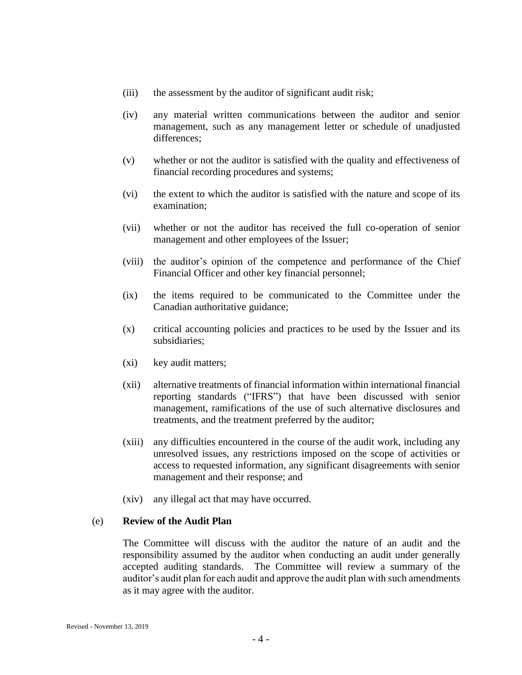- (iii) the assessment by the auditor of significant audit risk;
- (iv) any material written communications between the auditor and senior management, such as any management letter or schedule of unadjusted differences;
- (v) whether or not the auditor is satisfied with the quality and effectiveness of financial recording procedures and systems;
- (vi) the extent to which the auditor is satisfied with the nature and scope of its examination;
- (vii) whether or not the auditor has received the full co-operation of senior management and other employees of the Issuer;
- (viii) the auditor's opinion of the competence and performance of the Chief Financial Officer and other key financial personnel;
- (ix) the items required to be communicated to the Committee under the Canadian authoritative guidance;
- (x) critical accounting policies and practices to be used by the Issuer and its subsidiaries;
- (xi) key audit matters;
- (xii) alternative treatments of financial information within international financial reporting standards ("IFRS") that have been discussed with senior management, ramifications of the use of such alternative disclosures and treatments, and the treatment preferred by the auditor;
- (xiii) any difficulties encountered in the course of the audit work, including any unresolved issues, any restrictions imposed on the scope of activities or access to requested information, any significant disagreements with senior management and their response; and
- (xiv) any illegal act that may have occurred.

# <span id="page-6-0"></span>(e) **Review of the Audit Plan**

The Committee will discuss with the auditor the nature of an audit and the responsibility assumed by the auditor when conducting an audit under generally accepted auditing standards. The Committee will review a summary of the auditor's audit plan for each audit and approve the audit plan with such amendments as it may agree with the auditor.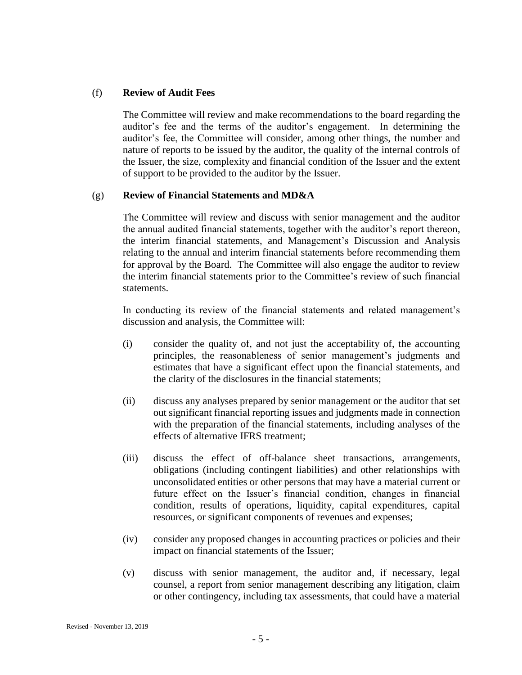#### <span id="page-7-0"></span>(f) **Review of Audit Fees**

The Committee will review and make recommendations to the board regarding the auditor's fee and the terms of the auditor's engagement. In determining the auditor's fee, the Committee will consider, among other things, the number and nature of reports to be issued by the auditor, the quality of the internal controls of the Issuer, the size, complexity and financial condition of the Issuer and the extent of support to be provided to the auditor by the Issuer.

#### <span id="page-7-1"></span>(g) **Review of Financial Statements and MD&A**

The Committee will review and discuss with senior management and the auditor the annual audited financial statements, together with the auditor's report thereon, the interim financial statements, and Management's Discussion and Analysis relating to the annual and interim financial statements before recommending them for approval by the Board. The Committee will also engage the auditor to review the interim financial statements prior to the Committee's review of such financial statements.

In conducting its review of the financial statements and related management's discussion and analysis, the Committee will:

- (i) consider the quality of, and not just the acceptability of, the accounting principles, the reasonableness of senior management's judgments and estimates that have a significant effect upon the financial statements, and the clarity of the disclosures in the financial statements;
- (ii) discuss any analyses prepared by senior management or the auditor that set out significant financial reporting issues and judgments made in connection with the preparation of the financial statements, including analyses of the effects of alternative IFRS treatment;
- (iii) discuss the effect of off-balance sheet transactions, arrangements, obligations (including contingent liabilities) and other relationships with unconsolidated entities or other persons that may have a material current or future effect on the Issuer's financial condition, changes in financial condition, results of operations, liquidity, capital expenditures, capital resources, or significant components of revenues and expenses;
- (iv) consider any proposed changes in accounting practices or policies and their impact on financial statements of the Issuer;
- (v) discuss with senior management, the auditor and, if necessary, legal counsel, a report from senior management describing any litigation, claim or other contingency, including tax assessments, that could have a material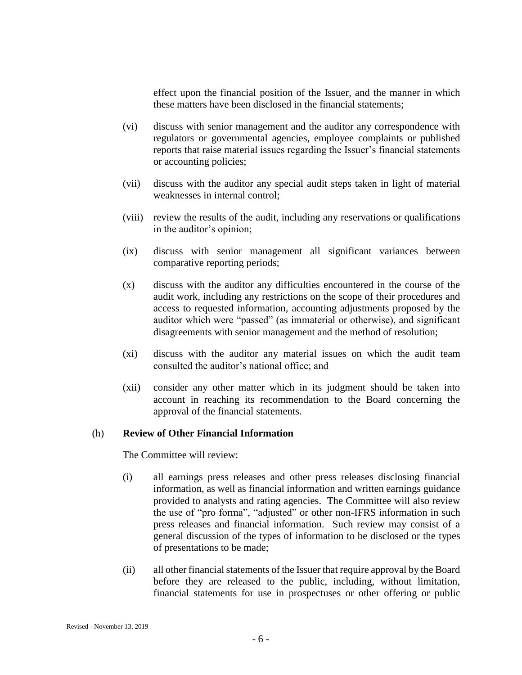effect upon the financial position of the Issuer, and the manner in which these matters have been disclosed in the financial statements;

- (vi) discuss with senior management and the auditor any correspondence with regulators or governmental agencies, employee complaints or published reports that raise material issues regarding the Issuer's financial statements or accounting policies;
- (vii) discuss with the auditor any special audit steps taken in light of material weaknesses in internal control;
- (viii) review the results of the audit, including any reservations or qualifications in the auditor's opinion;
- (ix) discuss with senior management all significant variances between comparative reporting periods;
- (x) discuss with the auditor any difficulties encountered in the course of the audit work, including any restrictions on the scope of their procedures and access to requested information, accounting adjustments proposed by the auditor which were "passed" (as immaterial or otherwise), and significant disagreements with senior management and the method of resolution;
- (xi) discuss with the auditor any material issues on which the audit team consulted the auditor's national office; and
- (xii) consider any other matter which in its judgment should be taken into account in reaching its recommendation to the Board concerning the approval of the financial statements.

# <span id="page-8-0"></span>(h) **Review of Other Financial Information**

The Committee will review:

- (i) all earnings press releases and other press releases disclosing financial information, as well as financial information and written earnings guidance provided to analysts and rating agencies. The Committee will also review the use of "pro forma", "adjusted" or other non-IFRS information in such press releases and financial information. Such review may consist of a general discussion of the types of information to be disclosed or the types of presentations to be made;
- (ii) all other financial statements of the Issuer that require approval by the Board before they are released to the public, including, without limitation, financial statements for use in prospectuses or other offering or public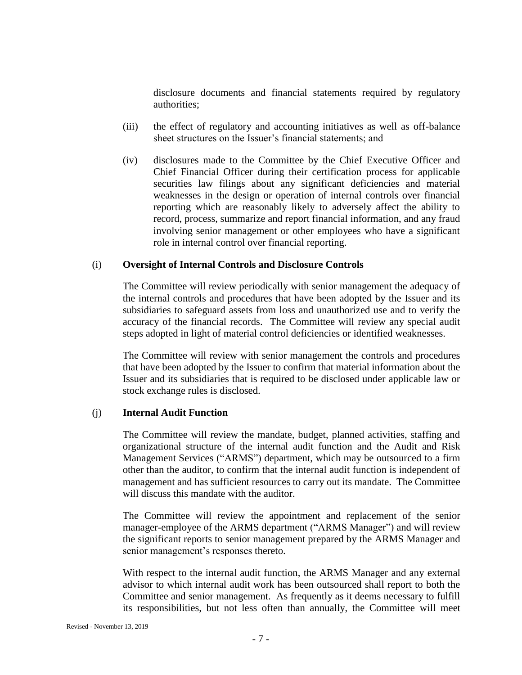disclosure documents and financial statements required by regulatory authorities;

- (iii) the effect of regulatory and accounting initiatives as well as off-balance sheet structures on the Issuer's financial statements; and
- (iv) disclosures made to the Committee by the Chief Executive Officer and Chief Financial Officer during their certification process for applicable securities law filings about any significant deficiencies and material weaknesses in the design or operation of internal controls over financial reporting which are reasonably likely to adversely affect the ability to record, process, summarize and report financial information, and any fraud involving senior management or other employees who have a significant role in internal control over financial reporting.

# <span id="page-9-0"></span>(i) **Oversight of Internal Controls and Disclosure Controls**

The Committee will review periodically with senior management the adequacy of the internal controls and procedures that have been adopted by the Issuer and its subsidiaries to safeguard assets from loss and unauthorized use and to verify the accuracy of the financial records. The Committee will review any special audit steps adopted in light of material control deficiencies or identified weaknesses.

The Committee will review with senior management the controls and procedures that have been adopted by the Issuer to confirm that material information about the Issuer and its subsidiaries that is required to be disclosed under applicable law or stock exchange rules is disclosed.

# <span id="page-9-1"></span>(j) **Internal Audit Function**

The Committee will review the mandate, budget, planned activities, staffing and organizational structure of the internal audit function and the Audit and Risk Management Services ("ARMS") department, which may be outsourced to a firm other than the auditor, to confirm that the internal audit function is independent of management and has sufficient resources to carry out its mandate. The Committee will discuss this mandate with the auditor.

The Committee will review the appointment and replacement of the senior manager-employee of the ARMS department ("ARMS Manager") and will review the significant reports to senior management prepared by the ARMS Manager and senior management's responses thereto.

With respect to the internal audit function, the ARMS Manager and any external advisor to which internal audit work has been outsourced shall report to both the Committee and senior management. As frequently as it deems necessary to fulfill its responsibilities, but not less often than annually, the Committee will meet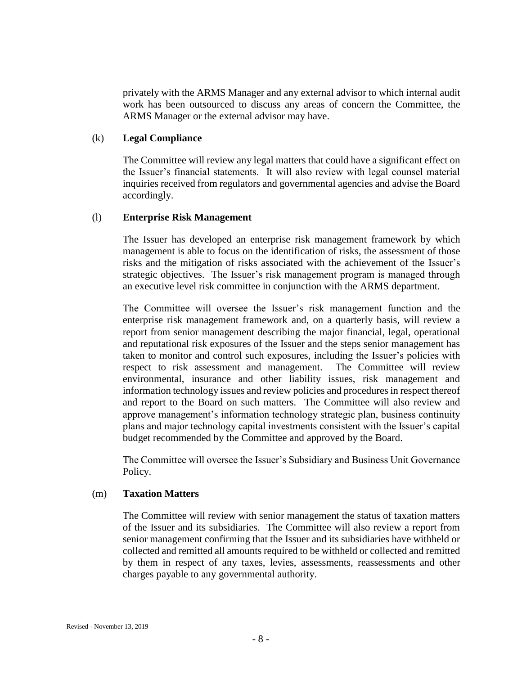privately with the ARMS Manager and any external advisor to which internal audit work has been outsourced to discuss any areas of concern the Committee, the ARMS Manager or the external advisor may have.

#### <span id="page-10-0"></span>(k) **Legal Compliance**

The Committee will review any legal matters that could have a significant effect on the Issuer's financial statements. It will also review with legal counsel material inquiries received from regulators and governmental agencies and advise the Board accordingly.

#### <span id="page-10-1"></span>(l) **Enterprise Risk Management**

The Issuer has developed an enterprise risk management framework by which management is able to focus on the identification of risks, the assessment of those risks and the mitigation of risks associated with the achievement of the Issuer's strategic objectives. The Issuer's risk management program is managed through an executive level risk committee in conjunction with the ARMS department.

The Committee will oversee the Issuer's risk management function and the enterprise risk management framework and, on a quarterly basis, will review a report from senior management describing the major financial, legal, operational and reputational risk exposures of the Issuer and the steps senior management has taken to monitor and control such exposures, including the Issuer's policies with respect to risk assessment and management. The Committee will review environmental, insurance and other liability issues, risk management and information technology issues and review policies and procedures in respect thereof and report to the Board on such matters. The Committee will also review and approve management's information technology strategic plan, business continuity plans and major technology capital investments consistent with the Issuer's capital budget recommended by the Committee and approved by the Board.

The Committee will oversee the Issuer's Subsidiary and Business Unit Governance Policy.

#### <span id="page-10-2"></span>(m) **Taxation Matters**

The Committee will review with senior management the status of taxation matters of the Issuer and its subsidiaries. The Committee will also review a report from senior management confirming that the Issuer and its subsidiaries have withheld or collected and remitted all amounts required to be withheld or collected and remitted by them in respect of any taxes, levies, assessments, reassessments and other charges payable to any governmental authority.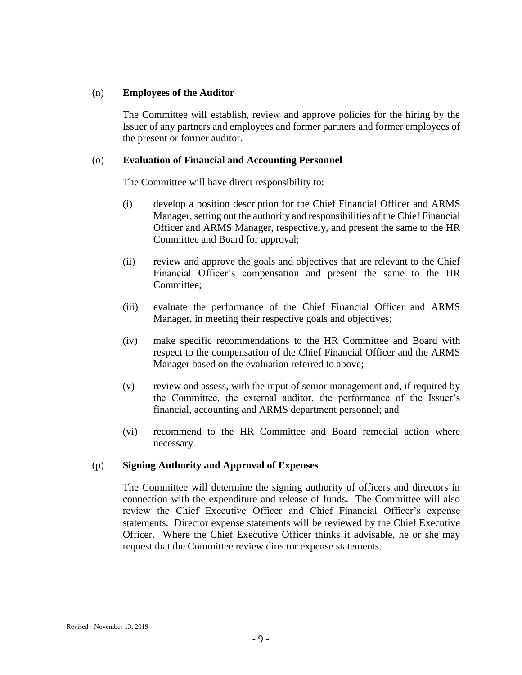#### <span id="page-11-0"></span>(n) **Employees of the Auditor**

The Committee will establish, review and approve policies for the hiring by the Issuer of any partners and employees and former partners and former employees of the present or former auditor.

#### <span id="page-11-1"></span>(o) **Evaluation of Financial and Accounting Personnel**

The Committee will have direct responsibility to:

- (i) develop a position description for the Chief Financial Officer and ARMS Manager, setting out the authority and responsibilities of the Chief Financial Officer and ARMS Manager, respectively, and present the same to the HR Committee and Board for approval;
- (ii) review and approve the goals and objectives that are relevant to the Chief Financial Officer's compensation and present the same to the HR Committee;
- (iii) evaluate the performance of the Chief Financial Officer and ARMS Manager, in meeting their respective goals and objectives;
- (iv) make specific recommendations to the HR Committee and Board with respect to the compensation of the Chief Financial Officer and the ARMS Manager based on the evaluation referred to above;
- (v) review and assess, with the input of senior management and, if required by the Committee, the external auditor, the performance of the Issuer's financial, accounting and ARMS department personnel; and
- (vi) recommend to the HR Committee and Board remedial action where necessary.

# <span id="page-11-2"></span>(p) **Signing Authority and Approval of Expenses**

The Committee will determine the signing authority of officers and directors in connection with the expenditure and release of funds. The Committee will also review the Chief Executive Officer and Chief Financial Officer's expense statements. Director expense statements will be reviewed by the Chief Executive Officer. Where the Chief Executive Officer thinks it advisable, he or she may request that the Committee review director expense statements.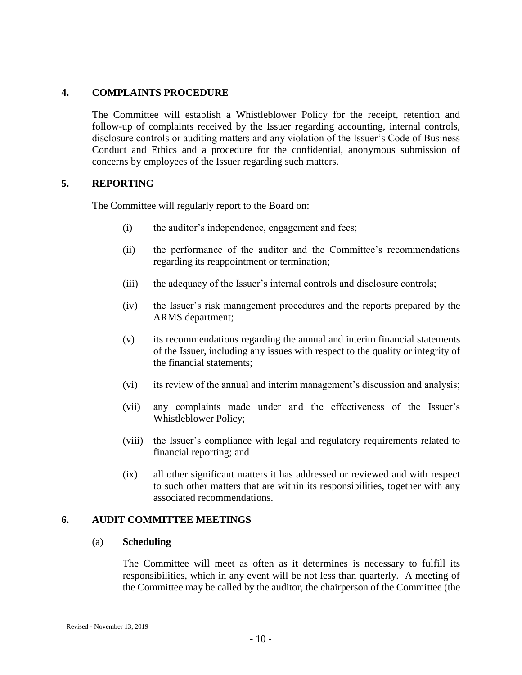#### <span id="page-12-0"></span>**4. COMPLAINTS PROCEDURE**

The Committee will establish a Whistleblower Policy for the receipt, retention and follow-up of complaints received by the Issuer regarding accounting, internal controls, disclosure controls or auditing matters and any violation of the Issuer's Code of Business Conduct and Ethics and a procedure for the confidential, anonymous submission of concerns by employees of the Issuer regarding such matters.

#### <span id="page-12-1"></span>**5. REPORTING**

The Committee will regularly report to the Board on:

- (i) the auditor's independence, engagement and fees;
- (ii) the performance of the auditor and the Committee's recommendations regarding its reappointment or termination;
- (iii) the adequacy of the Issuer's internal controls and disclosure controls;
- (iv) the Issuer's risk management procedures and the reports prepared by the ARMS department;
- (v) its recommendations regarding the annual and interim financial statements of the Issuer, including any issues with respect to the quality or integrity of the financial statements;
- (vi) its review of the annual and interim management's discussion and analysis;
- (vii) any complaints made under and the effectiveness of the Issuer's Whistleblower Policy;
- (viii) the Issuer's compliance with legal and regulatory requirements related to financial reporting; and
- (ix) all other significant matters it has addressed or reviewed and with respect to such other matters that are within its responsibilities, together with any associated recommendations.

#### <span id="page-12-3"></span><span id="page-12-2"></span>**6. AUDIT COMMITTEE MEETINGS**

#### (a) **Scheduling**

The Committee will meet as often as it determines is necessary to fulfill its responsibilities, which in any event will be not less than quarterly. A meeting of the Committee may be called by the auditor, the chairperson of the Committee (the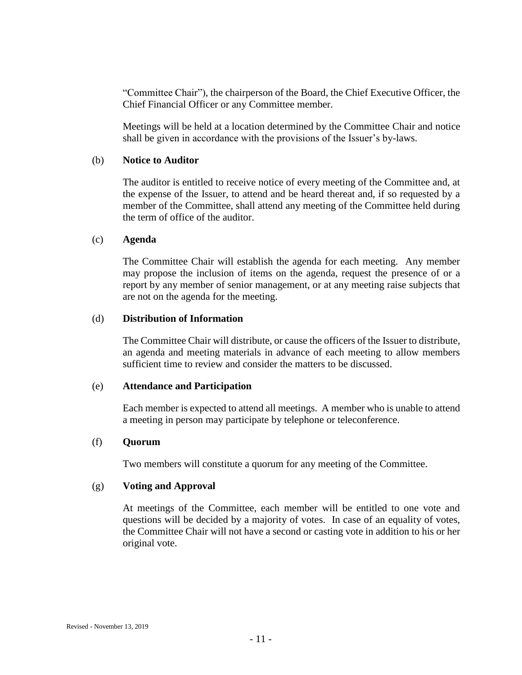"Committee Chair"), the chairperson of the Board, the Chief Executive Officer, the Chief Financial Officer or any Committee member.

Meetings will be held at a location determined by the Committee Chair and notice shall be given in accordance with the provisions of the Issuer's by-laws.

#### <span id="page-13-0"></span>(b) **Notice to Auditor**

The auditor is entitled to receive notice of every meeting of the Committee and, at the expense of the Issuer, to attend and be heard thereat and, if so requested by a member of the Committee, shall attend any meeting of the Committee held during the term of office of the auditor.

#### <span id="page-13-1"></span>(c) **Agenda**

The Committee Chair will establish the agenda for each meeting. Any member may propose the inclusion of items on the agenda, request the presence of or a report by any member of senior management, or at any meeting raise subjects that are not on the agenda for the meeting.

# <span id="page-13-2"></span>(d) **Distribution of Information**

The Committee Chair will distribute, or cause the officers of the Issuer to distribute, an agenda and meeting materials in advance of each meeting to allow members sufficient time to review and consider the matters to be discussed.

#### <span id="page-13-3"></span>(e) **Attendance and Participation**

Each member is expected to attend all meetings. A member who is unable to attend a meeting in person may participate by telephone or teleconference.

#### <span id="page-13-4"></span>(f) **Quorum**

Two members will constitute a quorum for any meeting of the Committee.

# <span id="page-13-5"></span>(g) **Voting and Approval**

At meetings of the Committee, each member will be entitled to one vote and questions will be decided by a majority of votes. In case of an equality of votes, the Committee Chair will not have a second or casting vote in addition to his or her original vote.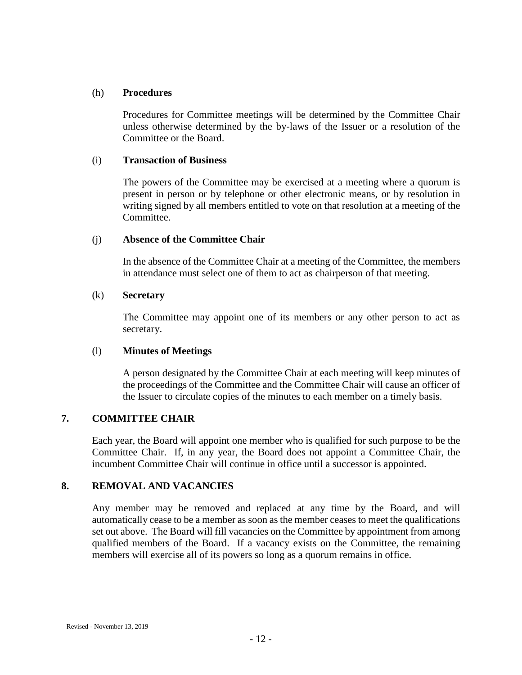#### <span id="page-14-0"></span>(h) **Procedures**

Procedures for Committee meetings will be determined by the Committee Chair unless otherwise determined by the by-laws of the Issuer or a resolution of the Committee or the Board.

#### <span id="page-14-1"></span>(i) **Transaction of Business**

The powers of the Committee may be exercised at a meeting where a quorum is present in person or by telephone or other electronic means, or by resolution in writing signed by all members entitled to vote on that resolution at a meeting of the Committee.

# <span id="page-14-2"></span>(j) **Absence of the Committee Chair**

In the absence of the Committee Chair at a meeting of the Committee, the members in attendance must select one of them to act as chairperson of that meeting.

#### <span id="page-14-3"></span>(k) **Secretary**

The Committee may appoint one of its members or any other person to act as secretary.

# <span id="page-14-4"></span>(l) **Minutes of Meetings**

A person designated by the Committee Chair at each meeting will keep minutes of the proceedings of the Committee and the Committee Chair will cause an officer of the Issuer to circulate copies of the minutes to each member on a timely basis.

# <span id="page-14-5"></span>**7. COMMITTEE CHAIR**

Each year, the Board will appoint one member who is qualified for such purpose to be the Committee Chair. If, in any year, the Board does not appoint a Committee Chair, the incumbent Committee Chair will continue in office until a successor is appointed.

# <span id="page-14-6"></span>**8. REMOVAL AND VACANCIES**

Any member may be removed and replaced at any time by the Board, and will automatically cease to be a member as soon as the member ceases to meet the qualifications set out above. The Board will fill vacancies on the Committee by appointment from among qualified members of the Board. If a vacancy exists on the Committee, the remaining members will exercise all of its powers so long as a quorum remains in office.